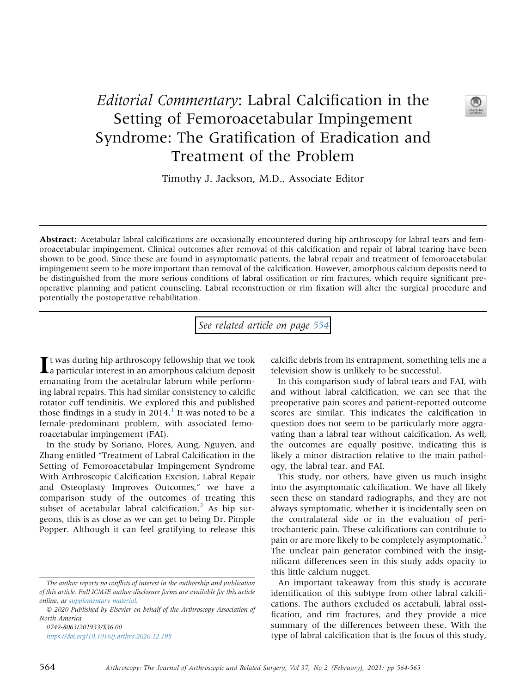## Editorial Commentary: Labral Calcification in the Setting of Femoroacetabular Impingement Syndrome: The Gratification of Eradication and Treatment of the Problem



Timothy J. Jackson, M.D., Associate Editor

Abstract: Acetabular labral calcifications are occasionally encountered during hip arthroscopy for labral tears and femoroacetabular impingement. Clinical outcomes after removal of this calcification and repair of labral tearing have been shown to be good. Since these are found in asymptomatic patients, the labral repair and treatment of femoroacetabular impingement seem to be more important than removal of the calcification. However, amorphous calcium deposits need to be distinguished from the more serious conditions of labral ossification or rim fractures, which require significant preoperative planning and patient counseling. Labral reconstruction or rim fixation will alter the surgical procedure and potentially the postoperative rehabilitation.

See related article on page [554](http://www.arthroscopyjournal.org/article/S0749-8063(20)30889-6/abstract)

It was during hip arthroscopy fellowship that we took a particular interest in an amorphous calcium deposit emanating from the acetabular labrum while performing labral repairs. This had similar consistency to calcific rotator cuff tendinitis. We explored this and published those findings in a study in  $2014<sup>1</sup>$  $2014<sup>1</sup>$  $2014<sup>1</sup>$  It was noted to be a female-predominant problem, with associated femoroacetabular impingement (FAI).

In the study by Soriano, Flores, Aung, Nguyen, and Zhang entitled "Treatment of Labral Calcification in the Setting of Femoroacetabular Impingement Syndrome With Arthroscopic Calcification Excision, Labral Repair and Osteoplasty Improves Outcomes," we have a comparison study of the outcomes of treating this subset of acetabular labral calcification.<sup>[2](#page-1-1)</sup> As hip surgeons, this is as close as we can get to being Dr. Pimple Popper. Although it can feel gratifying to release this

0749-8063/201933/\$36.00 <https://doi.org/10.1016/j.arthro.2020.12.195> calcific debris from its entrapment, something tells me a television show is unlikely to be successful.

In this comparison study of labral tears and FAI, with and without labral calcification, we can see that the preoperative pain scores and patient-reported outcome scores are similar. This indicates the calcification in question does not seem to be particularly more aggravating than a labral tear without calcification. As well, the outcomes are equally positive, indicating this is likely a minor distraction relative to the main pathology, the labral tear, and FAI.

This study, nor others, have given us much insight into the asymptomatic calcification. We have all likely seen these on standard radiographs, and they are not always symptomatic, whether it is incidentally seen on the contralateral side or in the evaluation of peritrochanteric pain. These calcifications can contribute to pain or are more likely to be completely asymptomatic.<sup>[3](#page-1-2)</sup> The unclear pain generator combined with the insignificant differences seen in this study adds opacity to this little calcium nugget.

An important takeaway from this study is accurate identification of this subtype from other labral calcifications. The authors excluded os acetabuli, labral ossification, and rim fractures, and they provide a nice summary of the differences between these. With the type of labral calcification that is the focus of this study,

The author reports no conflicts of interest in the authorship and publication of this article. Full ICMJE author disclosure forms are available for this article online, as supplementary material.

2020 Published by Elsevier on behalf of the Arthroscopy Association of North America